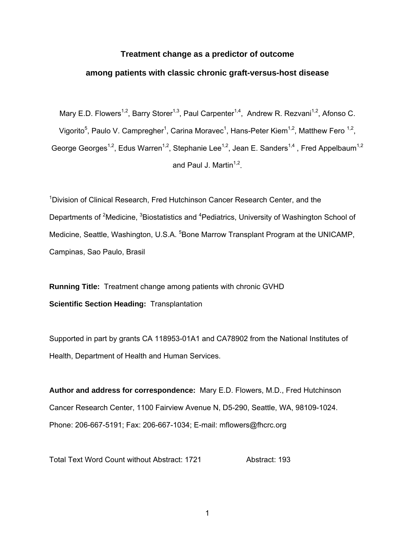## **Treatment change as a predictor of outcome**

## **among patients with classic chronic graft-versus-host disease**

Mary E.D. Flowers<sup>1,2</sup>, Barry Storer<sup>1,3</sup>, Paul Carpenter<sup>1,4</sup>, Andrew R. Rezvani<sup>1,2</sup>, Afonso C. Vigorito<sup>5</sup>, Paulo V. Campregher<sup>1</sup>, Carina Moravec<sup>1</sup>, Hans-Peter Kiem<sup>1,2</sup>, Matthew Fero <sup>1,2</sup>, George Georges<sup>1,2</sup>, Edus Warren<sup>1,2</sup>, Stephanie Lee<sup>1,2</sup>, Jean E. Sanders<sup>1,4</sup>, Fred Appelbaum<sup>1,2</sup> and Paul J. Martin $1,2$ .

<sup>1</sup>Division of Clinical Research, Fred Hutchinson Cancer Research Center, and the Departments of <sup>2</sup>Medicine, <sup>3</sup>Biostatistics and <sup>4</sup>Pediatrics, University of Washington School of Medicine, Seattle, Washington, U.S.A. <sup>5</sup>Bone Marrow Transplant Program at the UNICAMP, Campinas, Sao Paulo, Brasil

**Running Title:** Treatment change among patients with chronic GVHD **Scientific Section Heading:** Transplantation

Supported in part by grants CA 118953-01A1 and CA78902 from the National Institutes of Health, Department of Health and Human Services.

**Author and address for correspondence:** Mary E.D. Flowers, M.D., Fred Hutchinson Cancer Research Center, 1100 Fairview Avenue N, D5-290, Seattle, WA, 98109-1024. Phone: 206-667-5191; Fax: 206-667-1034; E-mail: mflowers@fhcrc.org

Total Text Word Count without Abstract: 1721 Abstract: 193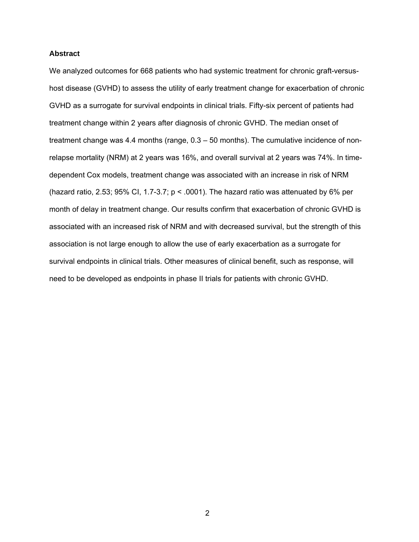### **Abstract**

We analyzed outcomes for 668 patients who had systemic treatment for chronic graft-versushost disease (GVHD) to assess the utility of early treatment change for exacerbation of chronic GVHD as a surrogate for survival endpoints in clinical trials. Fifty-six percent of patients had treatment change within 2 years after diagnosis of chronic GVHD. The median onset of treatment change was 4.4 months (range, 0.3 – 50 months). The cumulative incidence of nonrelapse mortality (NRM) at 2 years was 16%, and overall survival at 2 years was 74%. In timedependent Cox models, treatment change was associated with an increase in risk of NRM (hazard ratio, 2.53; 95% CI, 1.7-3.7;  $p < .0001$ ). The hazard ratio was attenuated by 6% per month of delay in treatment change. Our results confirm that exacerbation of chronic GVHD is associated with an increased risk of NRM and with decreased survival, but the strength of this association is not large enough to allow the use of early exacerbation as a surrogate for survival endpoints in clinical trials. Other measures of clinical benefit, such as response, will need to be developed as endpoints in phase II trials for patients with chronic GVHD.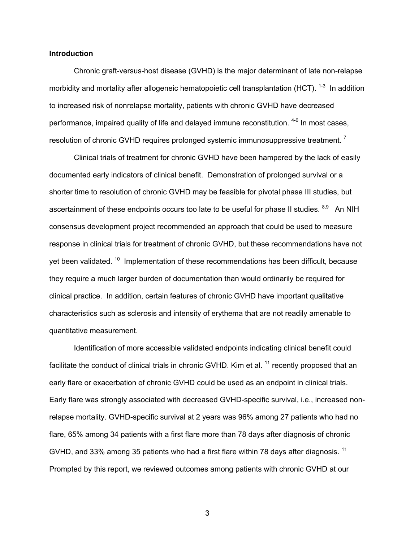### **Introduction**

 Chronic graft-versus-host disease (GVHD) is the major determinant of late non-relapse morbidity and mortality after allogeneic hematopoietic cell transplantation (HCT).  $1-3$  In addition to increased risk of nonrelapse mortality, patients with chronic GVHD have decreased performance, impaired quality of life and delayed immune reconstitution. <sup>4-6</sup> In most cases, resolution of chronic GVHD requires prolonged systemic immunosuppressive treatment.<sup>7</sup>

 Clinical trials of treatment for chronic GVHD have been hampered by the lack of easily documented early indicators of clinical benefit. Demonstration of prolonged survival or a shorter time to resolution of chronic GVHD may be feasible for pivotal phase III studies, but ascertainment of these endpoints occurs too late to be useful for phase II studies.  $8,9$  An NIH consensus development project recommended an approach that could be used to measure response in clinical trials for treatment of chronic GVHD, but these recommendations have not yet been validated. <sup>10</sup> Implementation of these recommendations has been difficult, because they require a much larger burden of documentation than would ordinarily be required for clinical practice. In addition, certain features of chronic GVHD have important qualitative characteristics such as sclerosis and intensity of erythema that are not readily amenable to quantitative measurement.

Identification of more accessible validated endpoints indicating clinical benefit could facilitate the conduct of clinical trials in chronic GVHD. Kim et al.<sup>11</sup> recently proposed that an early flare or exacerbation of chronic GVHD could be used as an endpoint in clinical trials. Early flare was strongly associated with decreased GVHD-specific survival, i.e., increased nonrelapse mortality. GVHD-specific survival at 2 years was 96% among 27 patients who had no flare, 65% among 34 patients with a first flare more than 78 days after diagnosis of chronic GVHD, and 33% among 35 patients who had a first flare within 78 days after diagnosis.<sup>11</sup> Prompted by this report, we reviewed outcomes among patients with chronic GVHD at our

 $\sim$  3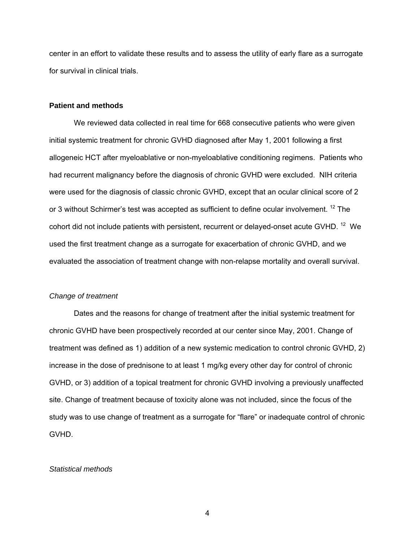center in an effort to validate these results and to assess the utility of early flare as a surrogate for survival in clinical trials.

## **Patient and methods**

 We reviewed data collected in real time for 668 consecutive patients who were given initial systemic treatment for chronic GVHD diagnosed after May 1, 2001 following a first allogeneic HCT after myeloablative or non-myeloablative conditioning regimens. Patients who had recurrent malignancy before the diagnosis of chronic GVHD were excluded. NIH criteria were used for the diagnosis of classic chronic GVHD, except that an ocular clinical score of 2 or 3 without Schirmer's test was accepted as sufficient to define ocular involvement. <sup>12</sup> The cohort did not include patients with persistent, recurrent or delayed-onset acute GVHD.<sup>12</sup> We used the first treatment change as a surrogate for exacerbation of chronic GVHD, and we evaluated the association of treatment change with non-relapse mortality and overall survival.

#### *Change of treatment*

 Dates and the reasons for change of treatment after the initial systemic treatment for chronic GVHD have been prospectively recorded at our center since May, 2001. Change of treatment was defined as 1) addition of a new systemic medication to control chronic GVHD, 2) increase in the dose of prednisone to at least 1 mg/kg every other day for control of chronic GVHD, or 3) addition of a topical treatment for chronic GVHD involving a previously unaffected site. Change of treatment because of toxicity alone was not included, since the focus of the study was to use change of treatment as a surrogate for "flare" or inadequate control of chronic GVHD.

## *Statistical methods*

4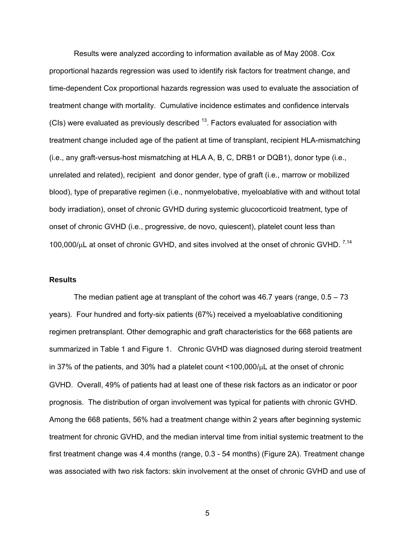Results were analyzed according to information available as of May 2008. Cox proportional hazards regression was used to identify risk factors for treatment change, and time-dependent Cox proportional hazards regression was used to evaluate the association of treatment change with mortality. Cumulative incidence estimates and confidence intervals (CIs) were evaluated as previously described  $13$ . Factors evaluated for association with treatment change included age of the patient at time of transplant, recipient HLA-mismatching (i.e., any graft-versus-host mismatching at HLA A, B, C, DRB1 or DQB1), donor type (i.e., unrelated and related), recipient and donor gender, type of graft (i.e., marrow or mobilized blood), type of preparative regimen (i.e., nonmyelobative, myeloablative with and without total body irradiation), onset of chronic GVHD during systemic glucocorticoid treatment, type of onset of chronic GVHD (i.e., progressive, de novo, quiescent), platelet count less than 100,000/ $\mu$ L at onset of chronic GVHD, and sites involved at the onset of chronic GVHD.  $^{7,14}$ 

#### **Results**

 The median patient age at transplant of the cohort was 46.7 years (range, 0.5 – 73 years). Four hundred and forty-six patients (67%) received a myeloablative conditioning regimen pretransplant. Other demographic and graft characteristics for the 668 patients are summarized in Table 1 and Figure 1. Chronic GVHD was diagnosed during steroid treatment in 37% of the patients, and 30% had a platelet count <100,000/μL at the onset of chronic GVHD. Overall, 49% of patients had at least one of these risk factors as an indicator or poor prognosis. The distribution of organ involvement was typical for patients with chronic GVHD. Among the 668 patients, 56% had a treatment change within 2 years after beginning systemic treatment for chronic GVHD, and the median interval time from initial systemic treatment to the first treatment change was 4.4 months (range, 0.3 - 54 months) (Figure 2A). Treatment change was associated with two risk factors: skin involvement at the onset of chronic GVHD and use of

 $\sim$  5  $\sim$  5  $\sim$  5  $\sim$  5  $\sim$  5  $\sim$  5  $\sim$  5  $\sim$  5  $\sim$  5  $\sim$  5  $\sim$  5  $\sim$  5  $\sim$  5  $\sim$  5  $\sim$  5  $\sim$  5  $\sim$  5  $\sim$  5  $\sim$  5  $\sim$  5  $\sim$  5  $\sim$  5  $\sim$  5  $\sim$  5  $\sim$  5  $\sim$  5  $\sim$  5  $\sim$  5  $\sim$  5  $\sim$  5  $\sim$  5  $\sim$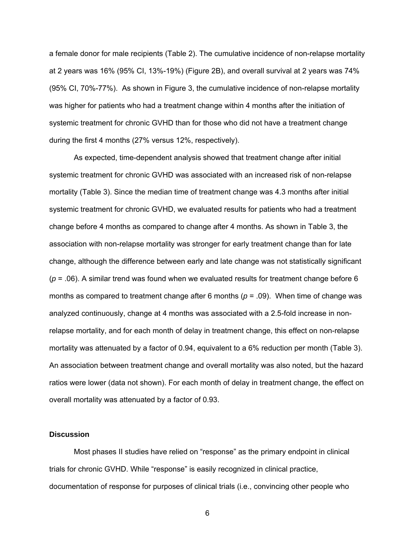a female donor for male recipients (Table 2). The cumulative incidence of non-relapse mortality at 2 years was 16% (95% CI, 13%-19%) (Figure 2B), and overall survival at 2 years was 74% (95% CI, 70%-77%). As shown in Figure 3, the cumulative incidence of non-relapse mortality was higher for patients who had a treatment change within 4 months after the initiation of systemic treatment for chronic GVHD than for those who did not have a treatment change during the first 4 months (27% versus 12%, respectively).

 As expected, time-dependent analysis showed that treatment change after initial systemic treatment for chronic GVHD was associated with an increased risk of non-relapse mortality (Table 3). Since the median time of treatment change was 4.3 months after initial systemic treatment for chronic GVHD, we evaluated results for patients who had a treatment change before 4 months as compared to change after 4 months. As shown in Table 3, the association with non-relapse mortality was stronger for early treatment change than for late change, although the difference between early and late change was not statistically significant  $(p = .06)$ . A similar trend was found when we evaluated results for treatment change before 6 months as compared to treatment change after 6 months (*p* = .09). When time of change was analyzed continuously, change at 4 months was associated with a 2.5-fold increase in nonrelapse mortality, and for each month of delay in treatment change, this effect on non-relapse mortality was attenuated by a factor of 0.94, equivalent to a 6% reduction per month (Table 3). An association between treatment change and overall mortality was also noted, but the hazard ratios were lower (data not shown). For each month of delay in treatment change, the effect on overall mortality was attenuated by a factor of 0.93.

### **Discussion**

 Most phases II studies have relied on "response" as the primary endpoint in clinical trials for chronic GVHD. While "response" is easily recognized in clinical practice, documentation of response for purposes of clinical trials (i.e., convincing other people who

 $\sim$  6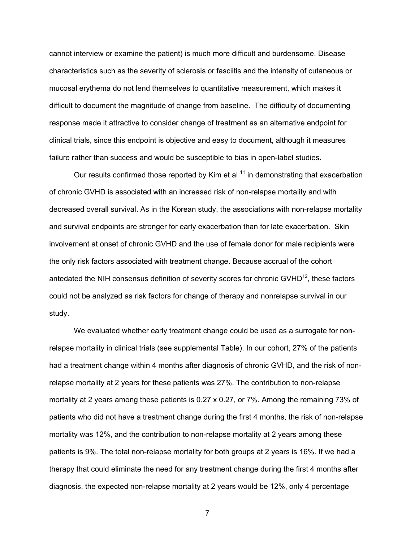cannot interview or examine the patient) is much more difficult and burdensome. Disease characteristics such as the severity of sclerosis or fasciitis and the intensity of cutaneous or mucosal erythema do not lend themselves to quantitative measurement, which makes it difficult to document the magnitude of change from baseline. The difficulty of documenting response made it attractive to consider change of treatment as an alternative endpoint for clinical trials, since this endpoint is objective and easy to document, although it measures failure rather than success and would be susceptible to bias in open-label studies.

Our results confirmed those reported by Kim et al  $11$  in demonstrating that exacerbation of chronic GVHD is associated with an increased risk of non-relapse mortality and with decreased overall survival. As in the Korean study, the associations with non-relapse mortality and survival endpoints are stronger for early exacerbation than for late exacerbation. Skin involvement at onset of chronic GVHD and the use of female donor for male recipients were the only risk factors associated with treatment change. Because accrual of the cohort antedated the NIH consensus definition of severity scores for chronic GVHD $^{12}$ , these factors could not be analyzed as risk factors for change of therapy and nonrelapse survival in our study.

 We evaluated whether early treatment change could be used as a surrogate for nonrelapse mortality in clinical trials (see supplemental Table). In our cohort, 27% of the patients had a treatment change within 4 months after diagnosis of chronic GVHD, and the risk of nonrelapse mortality at 2 years for these patients was 27%. The contribution to non-relapse mortality at 2 years among these patients is 0.27 x 0.27, or 7%. Among the remaining 73% of patients who did not have a treatment change during the first 4 months, the risk of non-relapse mortality was 12%, and the contribution to non-relapse mortality at 2 years among these patients is 9%. The total non-relapse mortality for both groups at 2 years is 16%. If we had a therapy that could eliminate the need for any treatment change during the first 4 months after diagnosis, the expected non-relapse mortality at 2 years would be 12%, only 4 percentage

7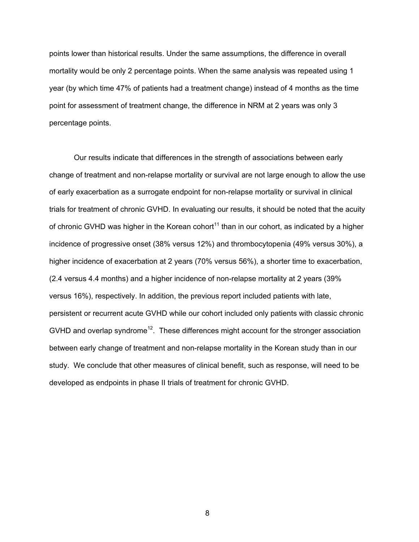points lower than historical results. Under the same assumptions, the difference in overall mortality would be only 2 percentage points. When the same analysis was repeated using 1 year (by which time 47% of patients had a treatment change) instead of 4 months as the time point for assessment of treatment change, the difference in NRM at 2 years was only 3 percentage points.

 Our results indicate that differences in the strength of associations between early change of treatment and non-relapse mortality or survival are not large enough to allow the use of early exacerbation as a surrogate endpoint for non-relapse mortality or survival in clinical trials for treatment of chronic GVHD. In evaluating our results, it should be noted that the acuity of chronic GVHD was higher in the Korean cohort<sup>11</sup> than in our cohort, as indicated by a higher incidence of progressive onset (38% versus 12%) and thrombocytopenia (49% versus 30%), a higher incidence of exacerbation at 2 years (70% versus 56%), a shorter time to exacerbation, (2.4 versus 4.4 months) and a higher incidence of non-relapse mortality at 2 years (39% versus 16%), respectively. In addition, the previous report included patients with late, persistent or recurrent acute GVHD while our cohort included only patients with classic chronic GVHD and overlap syndrome<sup>12</sup>. These differences might account for the stronger association between early change of treatment and non-relapse mortality in the Korean study than in our study. We conclude that other measures of clinical benefit, such as response, will need to be developed as endpoints in phase II trials of treatment for chronic GVHD.

en andere andere andere andere andere andere andere andere andere andere andere andere andere andere andere an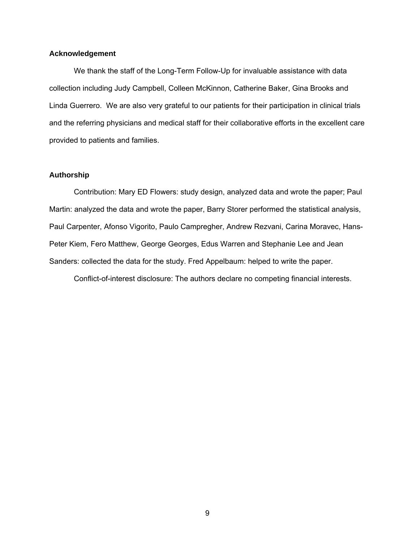## **Acknowledgement**

 We thank the staff of the Long-Term Follow-Up for invaluable assistance with data collection including Judy Campbell, Colleen McKinnon, Catherine Baker, Gina Brooks and Linda Guerrero. We are also very grateful to our patients for their participation in clinical trials and the referring physicians and medical staff for their collaborative efforts in the excellent care provided to patients and families.

## **Authorship**

 Contribution: Mary ED Flowers: study design, analyzed data and wrote the paper; Paul Martin: analyzed the data and wrote the paper, Barry Storer performed the statistical analysis, Paul Carpenter, Afonso Vigorito, Paulo Campregher, Andrew Rezvani, Carina Moravec, Hans-Peter Kiem, Fero Matthew, George Georges, Edus Warren and Stephanie Lee and Jean Sanders: collected the data for the study. Fred Appelbaum: helped to write the paper.

Conflict-of-interest disclosure: The authors declare no competing financial interests.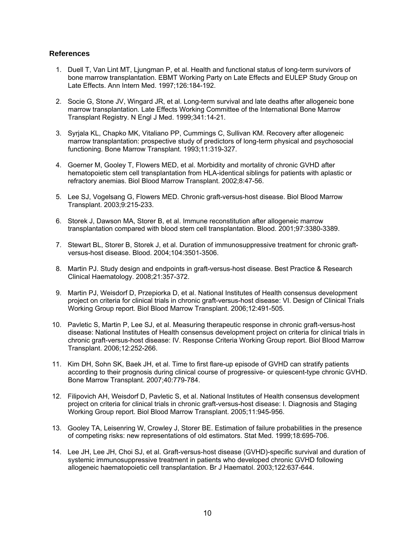## **References**

- 1. Duell T, Van Lint MT, Ljungman P, et al. Health and functional status of long-term survivors of bone marrow transplantation. EBMT Working Party on Late Effects and EULEP Study Group on Late Effects. Ann Intern Med. 1997;126:184-192.
- 2. Socie G, Stone JV, Wingard JR, et al. Long-term survival and late deaths after allogeneic bone marrow transplantation. Late Effects Working Committee of the International Bone Marrow Transplant Registry. N Engl J Med. 1999;341:14-21.
- 3. Syrjala KL, Chapko MK, Vitaliano PP, Cummings C, Sullivan KM. Recovery after allogeneic marrow transplantation: prospective study of predictors of long-term physical and psychosocial functioning. Bone Marrow Transplant. 1993;11:319-327.
- 4. Goerner M, Gooley T, Flowers MED, et al. Morbidity and mortality of chronic GVHD after hematopoietic stem cell transplantation from HLA-identical siblings for patients with aplastic or refractory anemias. Biol Blood Marrow Transplant. 2002;8:47-56.
- 5. Lee SJ, Vogelsang G, Flowers MED. Chronic graft-versus-host disease. Biol Blood Marrow Transplant. 2003;9:215-233.
- 6. Storek J, Dawson MA, Storer B, et al. Immune reconstitution after allogeneic marrow transplantation compared with blood stem cell transplantation. Blood. 2001;97:3380-3389.
- 7. Stewart BL, Storer B, Storek J, et al. Duration of immunosuppressive treatment for chronic graftversus-host disease. Blood. 2004;104:3501-3506.
- 8. Martin PJ. Study design and endpoints in graft-versus-host disease. Best Practice & Research Clinical Haematology. 2008;21:357-372.
- 9. Martin PJ, Weisdorf D, Przepiorka D, et al. National Institutes of Health consensus development project on criteria for clinical trials in chronic graft-versus-host disease: VI. Design of Clinical Trials Working Group report. Biol Blood Marrow Transplant. 2006;12:491-505.
- 10. Pavletic S, Martin P, Lee SJ, et al. Measuring therapeutic response in chronic graft-versus-host disease: National Institutes of Health consensus development project on criteria for clinical trials in chronic graft-versus-host disease: IV. Response Criteria Working Group report. Biol Blood Marrow Transplant. 2006;12:252-266.
- 11. Kim DH, Sohn SK, Baek JH, et al. Time to first flare-up episode of GVHD can stratify patients according to their prognosis during clinical course of progressive- or quiescent-type chronic GVHD. Bone Marrow Transplant. 2007;40:779-784.
- 12. Filipovich AH, Weisdorf D, Pavletic S, et al. National Institutes of Health consensus development project on criteria for clinical trials in chronic graft-versus-host disease: I. Diagnosis and Staging Working Group report. Biol Blood Marrow Transplant. 2005;11:945-956.
- 13. Gooley TA, Leisenring W, Crowley J, Storer BE. Estimation of failure probabilities in the presence of competing risks: new representations of old estimators. Stat Med. 1999;18:695-706.
- 14. Lee JH, Lee JH, Choi SJ, et al. Graft-versus-host disease (GVHD)-specific survival and duration of systemic immunosuppressive treatment in patients who developed chronic GVHD following allogeneic haematopoietic cell transplantation. Br J Haematol. 2003;122:637-644.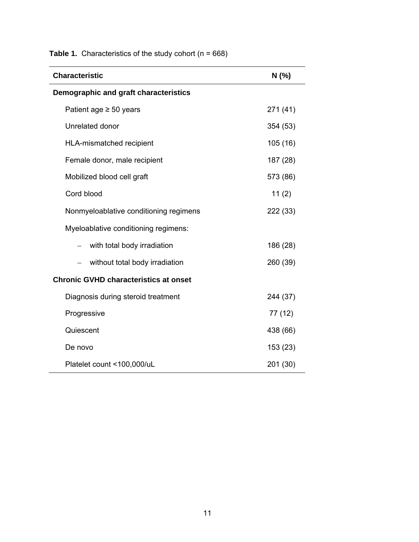| <b>Characteristic</b>                        | N(%      |
|----------------------------------------------|----------|
| Demographic and graft characteristics        |          |
| Patient age $\geq$ 50 years                  | 271 (41) |
| Unrelated donor                              | 354 (53) |
| HLA-mismatched recipient                     | 105(16)  |
| Female donor, male recipient                 | 187 (28) |
| Mobilized blood cell graft                   | 573 (86) |
| Cord blood                                   | 11(2)    |
| Nonmyeloablative conditioning regimens       | 222 (33) |
| Myeloablative conditioning regimens:         |          |
| with total body irradiation                  | 186 (28) |
| without total body irradiation               | 260 (39) |
| <b>Chronic GVHD characteristics at onset</b> |          |
| Diagnosis during steroid treatment           | 244 (37) |
| Progressive                                  | 77 (12)  |
| Quiescent                                    | 438 (66) |
| De novo                                      | 153 (23) |
| Platelet count <100,000/uL                   | 201 (30) |

**Table 1.** Characteristics of the study cohort (n = 668)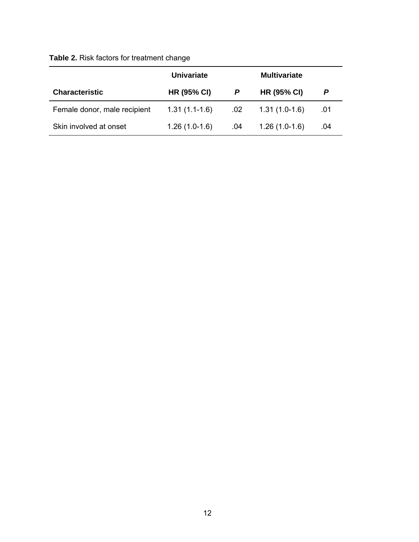# **Table 2.** Risk factors for treatment change

|                              | <b>Univariate</b>  |     | <b>Multivariate</b> |     |
|------------------------------|--------------------|-----|---------------------|-----|
| <b>Characteristic</b>        | <b>HR (95% CI)</b> |     | <b>HR (95% CI)</b>  |     |
| Female donor, male recipient | $1.31(1.1-1.6)$    | .02 | $1.31(1.0-1.6)$     | .01 |
| Skin involved at onset       | $1.26(1.0-1.6)$    | .04 | $1.26(1.0-1.6)$     | .04 |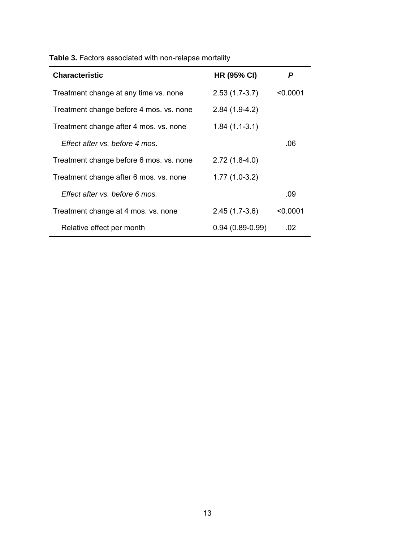| <b>Characteristic</b>                   | <b>HR (95% CI)</b> | P        |
|-----------------------------------------|--------------------|----------|
| Treatment change at any time vs. none   | $2.53(1.7-3.7)$    | < 0.0001 |
| Treatment change before 4 mos. vs. none | $2.84(1.9-4.2)$    |          |
| Treatment change after 4 mos. vs. none  | $1.84(1.1-3.1)$    |          |
| Effect after vs. before 4 mos.          |                    | .06      |
| Treatment change before 6 mos. vs. none | $2.72(1.8-4.0)$    |          |
| Treatment change after 6 mos. vs. none  | $1.77(1.0-3.2)$    |          |
| Effect after vs. before 6 mos.          |                    | .09      |
| Treatment change at 4 mos. vs. none     | $2.45(1.7-3.6)$    | < 0.0001 |
| Relative effect per month               | $0.94(0.89-0.99)$  | .02      |
|                                         |                    |          |

**Table 3.** Factors associated with non-relapse mortality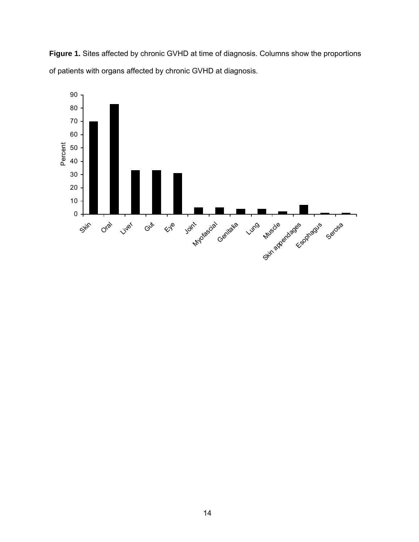**Figure 1.** Sites affected by chronic GVHD at time of diagnosis. Columns show the proportions of patients with organs affected by chronic GVHD at diagnosis.

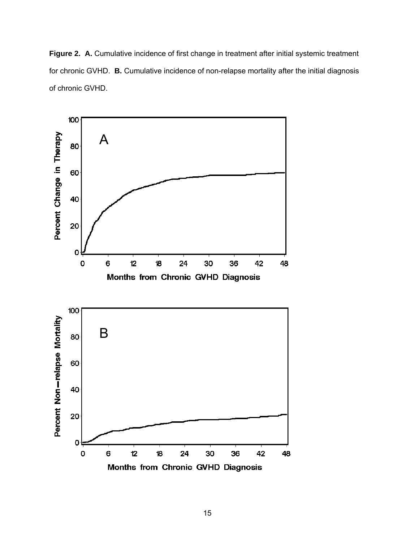Figure 2. A. Cumulative incidence of first change in treatment after initial systemic treatment for chronic GVHD. **B.** Cumulative incidence of non-relapse mortality after the initial diagnosis of chronic GVHD.